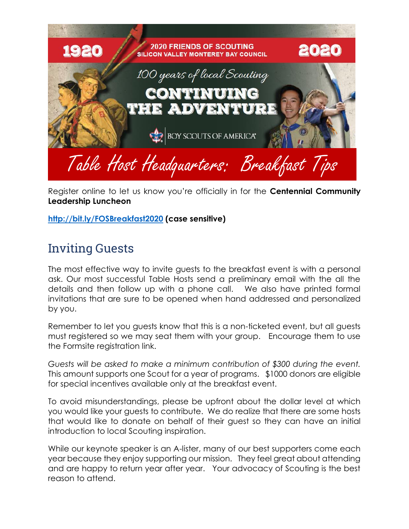

Register online to let us know you're officially in for the **Centennial Community Leadership Luncheon** 

**<http://bit.ly/FOSBreakfast2020> (case sensitive)** 

## Inviting Guests

The most effective way to invite guests to the breakfast event is with a personal ask. Our most successful Table Hosts send a preliminary email with the all the details and then follow up with a phone call. We also have printed formal invitations that are sure to be opened when hand addressed and personalized by you.

Remember to let you guests know that this is a non-ticketed event, but all guests must registered so we may seat them with your group. Encourage them to use the Formsite registration link.

*Guests will be asked to make a minimum contribution of \$300 during the event.* This amount supports one Scout for a year of programs. \$1000 donors are eligible for special incentives available only at the breakfast event.

To avoid misunderstandings, please be upfront about the dollar level at which you would like your guests to contribute. We do realize that there are some hosts that would like to donate on behalf of their guest so they can have an initial introduction to local Scouting inspiration.

While our keynote speaker is an A-lister, many of our best supporters come each year because they enjoy supporting our mission. They feel great about attending and are happy to return year after year. Your advocacy of Scouting is the best reason to attend.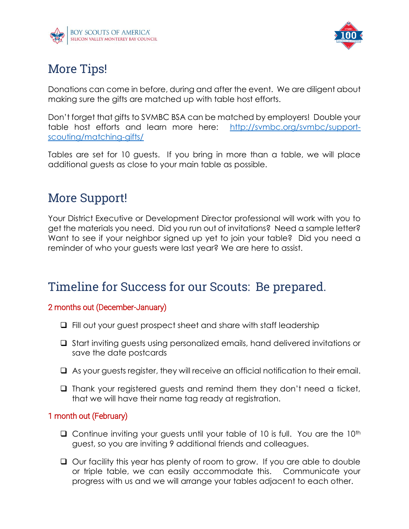



# More Tips!

Donations can come in before, during and after the event. We are diligent about making sure the gifts are matched up with table host efforts.

Don't forget that gifts to SVMBC BSA can be matched by employers! Double your table host efforts and learn more here: [http://svmbc.org/svmbc/support](http://svmbc.org/svmbc/support-scouting/matching-gifts/)[scouting/matching-gifts/](http://svmbc.org/svmbc/support-scouting/matching-gifts/)

Tables are set for 10 guests. If you bring in more than a table, we will place additional guests as close to your main table as possible.

# More Support!

Your District Executive or Development Director professional will work with you to get the materials you need. Did you run out of invitations? Need a sample letter? Want to see if your neighbor signed up yet to join your table? Did you need a reminder of who your guests were last year? We are here to assist.

## Timeline for Success for our Scouts: Be prepared.

### 2 months out (December-January)

- ❑ Fill out your guest prospect sheet and share with staff leadership
- ❑ Start inviting guests using personalized emails, hand delivered invitations or save the date postcards
- ❑ As your guests register, they will receive an official notification to their email.
- ❑ Thank your registered guests and remind them they don't need a ticket, that we will have their name tag ready at registration.

### 1 month out (February)

- $\Box$  Continue inviting your guests until your table of 10 is full. You are the 10<sup>th</sup> guest, so you are inviting 9 additional friends and colleagues.
- ❑ Our facility this year has plenty of room to grow. If you are able to double or triple table, we can easily accommodate this. Communicate your progress with us and we will arrange your tables adjacent to each other.